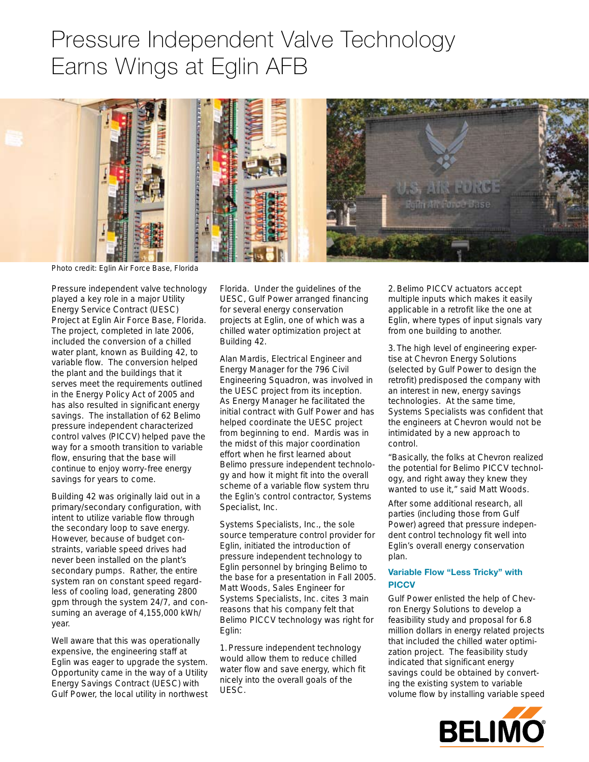# Pressure Independent Valve Technology Earns Wings at Eglin AFB



Photo credit: Eglin Air Force Base, Florida

Pressure independent valve technology played a key role in a major Utility Energy Service Contract (UESC) Project at Eglin Air Force Base, Florida. The project, completed in late 2006, included the conversion of a chilled water plant, known as Building 42, to variable flow. The conversion helped the plant and the buildings that it serves meet the requirements outlined in the Energy Policy Act of 2005 and has also resulted in significant energy savings. The installation of 62 Belimo pressure independent characterized control valves (PICCV) helped pave the way for a smooth transition to variable flow, ensuring that the base will continue to enjoy worry-free energy savings for years to come.

Building 42 was originally laid out in a primary/secondary configuration, with intent to utilize variable flow through the secondary loop to save energy. However, because of budget constraints, variable speed drives had never been installed on the plant's secondary pumps. Rather, the entire system ran on constant speed regardless of cooling load, generating 2800 gpm through the system 24/7, and consuming an average of 4,155,000 kWh/ year.

Well aware that this was operationally expensive, the engineering staff at Eglin was eager to upgrade the system. Opportunity came in the way of a Utility Energy Savings Contract (UESC) with Gulf Power, the local utility in northwest Florida. Under the guidelines of the UESC, Gulf Power arranged financing for several energy conservation projects at Eglin, one of which was a chilled water optimization project at Building 42.

Alan Mardis, Electrical Engineer and Energy Manager for the 796 Civil Engineering Squadron, was involved in the UESC project from its inception. As Energy Manager he facilitated the initial contract with Gulf Power and has helped coordinate the UESC project from beginning to end. Mardis was in the midst of this major coordination effort when he first learned about Belimo pressure independent technology and how it might fit into the overall scheme of a variable flow system thru the Eglin's control contractor, Systems Specialist, Inc.

Systems Specialists, Inc., the sole source temperature control provider for Eglin, initiated the introduction of pressure independent technology to Eglin personnel by bringing Belimo to the base for a presentation in Fall 2005. Matt Woods, Sales Engineer for Systems Specialists, Inc. cites 3 main reasons that his company felt that Belimo PICCV technology was right for Eglin:

1.Pressure independent technology would allow them to reduce chilled water flow and save energy, which fit nicely into the overall goals of the UESC.

2.Belimo PICCV actuators accept multiple inputs which makes it easily applicable in a retrofit like the one at Eglin, where types of input signals vary from one building to another.

3. The high level of engineering expertise at Chevron Energy Solutions (selected by Gulf Power to design the retrofit) predisposed the company with an interest in new, energy savings technologies. At the same time, Systems Specialists was confident that the engineers at Chevron would not be intimidated by a new approach to control.

"Basically, the folks at Chevron realized the potential for Belimo PICCV technology, and right away they knew they wanted to use it," said Matt Woods.

After some additional research, all parties (including those from Gulf Power) agreed that pressure independent control technology fit well into Eglin's overall energy conservation plan.

# **Variable Flow "Less Tricky" with PICCV**

Gulf Power enlisted the help of Chevron Energy Solutions to develop a feasibility study and proposal for 6.8 million dollars in energy related projects that included the chilled water optimization project. The feasibility study indicated that significant energy savings could be obtained by converting the existing system to variable volume flow by installing variable speed